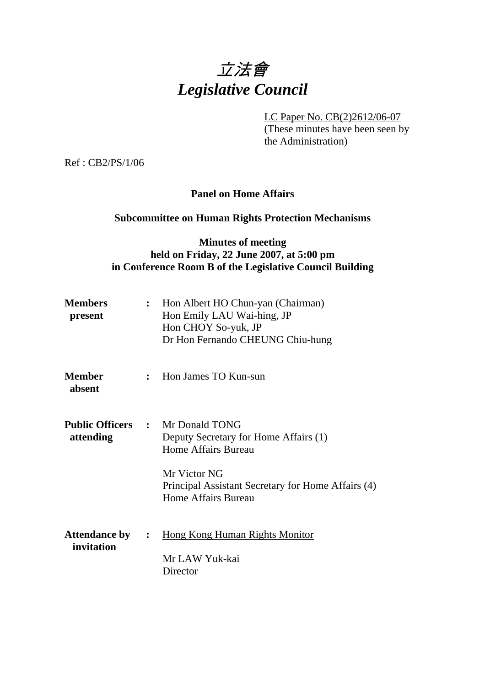# 立法會 *Legislative Council*

LC Paper No. CB(2)2612/06-07

(These minutes have been seen by the Administration)

Ref : CB2/PS/1/06

## **Panel on Home Affairs**

# **Subcommittee on Human Rights Protection Mechanisms**

## **Minutes of meeting held on Friday, 22 June 2007, at 5:00 pm in Conference Room B of the Legislative Council Building**

| <b>Members</b><br>present            | Hon Albert HO Chun-yan (Chairman)<br>$\ddot{\cdot}$<br>Hon Emily LAU Wai-hing, JP<br>Hon CHOY So-yuk, JP<br>Dr Hon Fernando CHEUNG Chiu-hung |                                                                                                                                                                                                                    |
|--------------------------------------|----------------------------------------------------------------------------------------------------------------------------------------------|--------------------------------------------------------------------------------------------------------------------------------------------------------------------------------------------------------------------|
| <b>Member</b><br>absent              |                                                                                                                                              | : Hon James TO Kun-sun                                                                                                                                                                                             |
| attending                            |                                                                                                                                              | <b>Public Officers : Mr Donald TONG</b><br>Deputy Secretary for Home Affairs (1)<br><b>Home Affairs Bureau</b><br>Mr Victor NG<br>Principal Assistant Secretary for Home Affairs (4)<br><b>Home Affairs Bureau</b> |
| <b>Attendance by :</b><br>invitation |                                                                                                                                              | <b>Hong Kong Human Rights Monitor</b><br>Mr LAW Yuk-kai<br>Director                                                                                                                                                |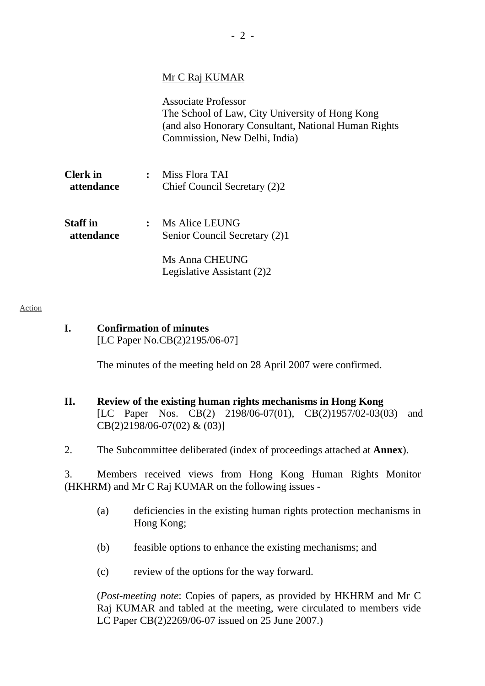## Mr C Raj KUMAR

Associate Professor The School of Law, City University of Hong Kong (and also Honorary Consultant, National Human Rights Commission, New Delhi, India) **Clerk in :** Miss Flora TAI **attendance** Chief Council Secretary (2)2 **Staff in :** Ms Alice LEUNG

 **attendance** Senior Council Secretary (2)1

 Ms Anna CHEUNG Legislative Assistant (2)2

#### Action

**I. Confirmation of minutes** 

[LC Paper No.CB(2)2195/06-07]

The minutes of the meeting held on 28 April 2007 were confirmed.

### **II. Review of the existing human rights mechanisms in Hong Kong**  [LC Paper Nos. CB(2) 2198/06-07(01), CB(2)1957/02-03(03) and CB(2)2198/06-07(02) & (03)]

2. The Subcommittee deliberated (index of proceedings attached at **Annex**).

3. Members received views from Hong Kong Human Rights Monitor (HKHRM) and Mr C Raj KUMAR on the following issues -

- (a) deficiencies in the existing human rights protection mechanisms in Hong Kong;
- (b) feasible options to enhance the existing mechanisms; and
- (c) review of the options for the way forward.

 (*Post-meeting note*: Copies of papers, as provided by HKHRM and Mr C Raj KUMAR and tabled at the meeting, were circulated to members vide LC Paper CB(2)2269/06-07 issued on 25 June 2007.)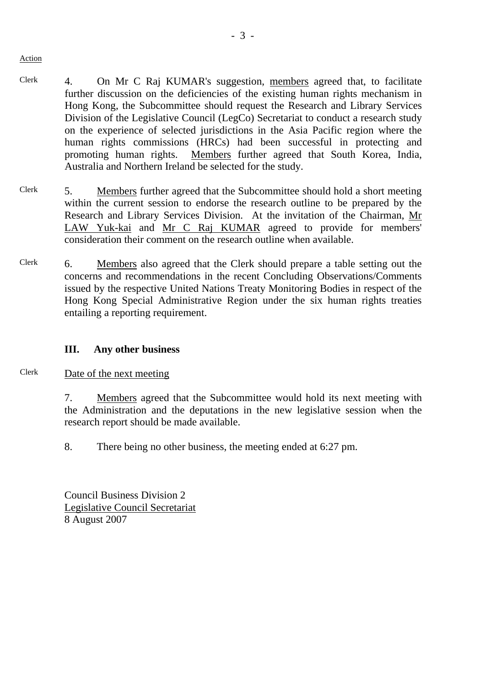Action

- Clerk 4. On Mr C Raj KUMAR's suggestion, members agreed that, to facilitate further discussion on the deficiencies of the existing human rights mechanism in Hong Kong, the Subcommittee should request the Research and Library Services Division of the Legislative Council (LegCo) Secretariat to conduct a research study on the experience of selected jurisdictions in the Asia Pacific region where the human rights commissions (HRCs) had been successful in protecting and promoting human rights. Members further agreed that South Korea, India, Australia and Northern Ireland be selected for the study.
- Clerk 5. Members further agreed that the Subcommittee should hold a short meeting within the current session to endorse the research outline to be prepared by the Research and Library Services Division. At the invitation of the Chairman, Mr LAW Yuk-kai and Mr C Raj KUMAR agreed to provide for members' consideration their comment on the research outline when available.
- Clerk 6. Members also agreed that the Clerk should prepare a table setting out the concerns and recommendations in the recent Concluding Observations/Comments issued by the respective United Nations Treaty Monitoring Bodies in respect of the Hong Kong Special Administrative Region under the six human rights treaties entailing a reporting requirement.

## **III. Any other business**

- Clerk Date of the next meeting
	- 7. Members agreed that the Subcommittee would hold its next meeting with the Administration and the deputations in the new legislative session when the research report should be made available.

8. There being no other business, the meeting ended at 6:27 pm.

Council Business Division 2 Legislative Council Secretariat 8 August 2007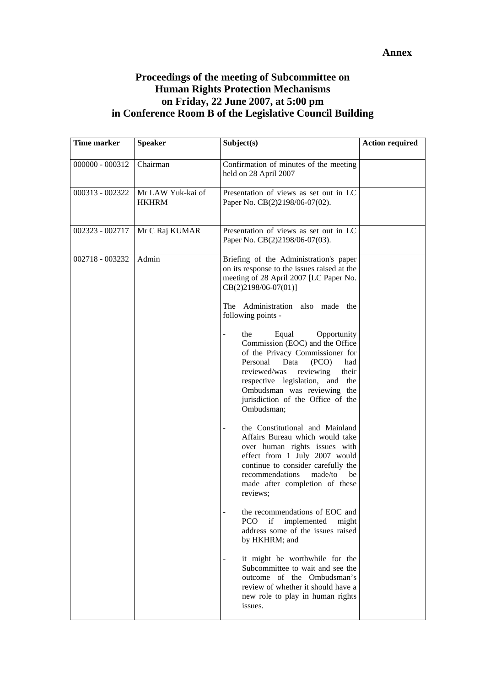#### **Annex**

## **Proceedings of the meeting of Subcommittee on Human Rights Protection Mechanisms on Friday, 22 June 2007, at 5:00 pm in Conference Room B of the Legislative Council Building**

| Time marker     | <b>Speaker</b>                    | Subject(s)                                                                                                                                                                                                                                                                                                                                                                                                                                                                                                                                 | <b>Action required</b> |
|-----------------|-----------------------------------|--------------------------------------------------------------------------------------------------------------------------------------------------------------------------------------------------------------------------------------------------------------------------------------------------------------------------------------------------------------------------------------------------------------------------------------------------------------------------------------------------------------------------------------------|------------------------|
| 000000 - 000312 | Chairman                          | Confirmation of minutes of the meeting<br>held on 28 April 2007                                                                                                                                                                                                                                                                                                                                                                                                                                                                            |                        |
| 000313 - 002322 | Mr LAW Yuk-kai of<br><b>HKHRM</b> | Presentation of views as set out in LC<br>Paper No. CB(2)2198/06-07(02).                                                                                                                                                                                                                                                                                                                                                                                                                                                                   |                        |
| 002323 - 002717 | Mr C Raj KUMAR                    | Presentation of views as set out in LC<br>Paper No. CB(2)2198/06-07(03).                                                                                                                                                                                                                                                                                                                                                                                                                                                                   |                        |
| 002718 - 003232 | Admin                             | Briefing of the Administration's paper<br>on its response to the issues raised at the<br>meeting of 28 April 2007 [LC Paper No.<br>CB(2)2198/06-07(01)]<br>The Administration also made the<br>following points -<br>the<br>Equal<br>Opportunity<br>÷<br>Commission (EOC) and the Office<br>of the Privacy Commissioner for<br>Personal<br>Data<br>(PCO)<br>had<br>reviewed/was<br>reviewing<br>their<br>respective legislation, and<br>the<br>Ombudsman was reviewing the<br>jurisdiction of the Office of the<br>Ombudsman;              |                        |
|                 |                                   | the Constitutional and Mainland<br>Affairs Bureau which would take<br>over human rights issues with<br>effect from 1 July 2007 would<br>continue to consider carefully the<br>recommendations<br>made/to<br>be<br>made after completion of these<br>reviews;<br>the recommendations of EOC and<br>if<br>implemented<br><b>PCO</b><br>might<br>address some of the issues raised<br>by HKHRM; and<br>it might be worthwhile for the<br>Subcommittee to wait and see the<br>outcome of the Ombudsman's<br>review of whether it should have a |                        |
|                 |                                   | new role to play in human rights<br>issues.                                                                                                                                                                                                                                                                                                                                                                                                                                                                                                |                        |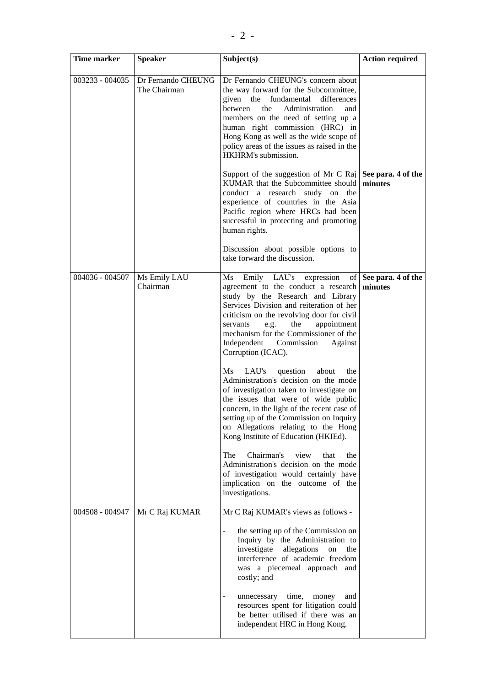| <b>Time marker</b> | <b>Speaker</b>                     | Subject(s)                                                                                                                                                                                                                                                                                                                                                                                                                                                                                                                                                                                                                                                                                                                                                                                                                                                                            | <b>Action required</b>           |
|--------------------|------------------------------------|---------------------------------------------------------------------------------------------------------------------------------------------------------------------------------------------------------------------------------------------------------------------------------------------------------------------------------------------------------------------------------------------------------------------------------------------------------------------------------------------------------------------------------------------------------------------------------------------------------------------------------------------------------------------------------------------------------------------------------------------------------------------------------------------------------------------------------------------------------------------------------------|----------------------------------|
| 003233 - 004035    | Dr Fernando CHEUNG<br>The Chairman | Dr Fernando CHEUNG's concern about<br>the way forward for the Subcommittee,<br>given the<br>fundamental<br>differences<br>Administration<br>between<br>the<br>and<br>members on the need of setting up a<br>human right commission (HRC) in<br>Hong Kong as well as the wide scope of<br>policy areas of the issues as raised in the<br>HKHRM's submission.                                                                                                                                                                                                                                                                                                                                                                                                                                                                                                                           |                                  |
|                    |                                    | Support of the suggestion of Mr C Raj   See para. 4 of the<br>KUMAR that the Subcommittee should minutes<br>conduct a research study on the<br>experience of countries in the Asia<br>Pacific region where HRCs had been<br>successful in protecting and promoting<br>human rights.                                                                                                                                                                                                                                                                                                                                                                                                                                                                                                                                                                                                   |                                  |
|                    |                                    | Discussion about possible options to<br>take forward the discussion.                                                                                                                                                                                                                                                                                                                                                                                                                                                                                                                                                                                                                                                                                                                                                                                                                  |                                  |
| 004036 - 004507    | Ms Emily LAU<br>Chairman           | Ms<br>Emily LAU's expression<br>agreement to the conduct a research<br>study by the Research and Library<br>Services Division and reiteration of her<br>criticism on the revolving door for civil<br>the<br>appointment<br>servants<br>e.g.<br>mechanism for the Commissioner of the<br>Independent Commission<br>Against<br>Corruption (ICAC).<br>Ms<br>LAU's<br>question<br>about<br>the<br>Administration's decision on the mode<br>of investigation taken to investigate on<br>the issues that were of wide public<br>concern, in the light of the recent case of<br>setting up of the Commission on Inquiry<br>on Allegations relating to the Hong<br>Kong Institute of Education (HKIEd).<br>Chairman's<br>The<br>view<br>that<br>the<br>Administration's decision on the mode<br>of investigation would certainly have<br>implication on the outcome of the<br>investigations. | of See para. 4 of the<br>minutes |
| 004508 - 004947    | Mr C Raj KUMAR                     | Mr C Raj KUMAR's views as follows -<br>the setting up of the Commission on<br>÷,<br>Inquiry by the Administration to<br>investigate<br>allegations<br>on<br>the<br>interference of academic freedom<br>was a piecemeal approach and<br>costly; and<br>time,<br>unnecessary<br>money<br>and<br>resources spent for litigation could<br>be better utilised if there was an<br>independent HRC in Hong Kong.                                                                                                                                                                                                                                                                                                                                                                                                                                                                             |                                  |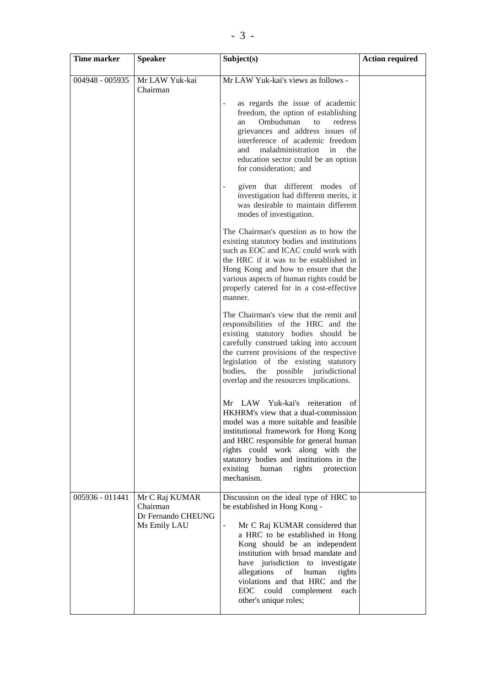| Time marker     | <b>Speaker</b>                                                   | Subject(s)                                                                                                                                                                                                                                                                                                                                                                                                                                                                                                                                                                                                                                                                                                                                                                                                                                                                                                                                                                                                                                                                                                                                                                                                                                                                                                                                                                                                                                                                                                               | <b>Action required</b> |
|-----------------|------------------------------------------------------------------|--------------------------------------------------------------------------------------------------------------------------------------------------------------------------------------------------------------------------------------------------------------------------------------------------------------------------------------------------------------------------------------------------------------------------------------------------------------------------------------------------------------------------------------------------------------------------------------------------------------------------------------------------------------------------------------------------------------------------------------------------------------------------------------------------------------------------------------------------------------------------------------------------------------------------------------------------------------------------------------------------------------------------------------------------------------------------------------------------------------------------------------------------------------------------------------------------------------------------------------------------------------------------------------------------------------------------------------------------------------------------------------------------------------------------------------------------------------------------------------------------------------------------|------------------------|
| 004948 - 005935 | Mr LAW Yuk-kai<br>Chairman                                       | Mr LAW Yuk-kai's views as follows -<br>as regards the issue of academic<br>$\overline{\phantom{a}}$<br>freedom, the option of establishing<br>Ombudsman<br>redress<br>to<br>an<br>grievances and address issues of<br>interference of academic freedom<br>maladministration<br>in<br>and<br>the<br>education sector could be an option<br>for consideration; and<br>given that different modes of<br>investigation had different merits, it<br>was desirable to maintain different<br>modes of investigation.<br>The Chairman's question as to how the<br>existing statutory bodies and institutions<br>such as EOC and ICAC could work with<br>the HRC if it was to be established in<br>Hong Kong and how to ensure that the<br>various aspects of human rights could be<br>properly catered for in a cost-effective<br>manner.<br>The Chairman's view that the remit and<br>responsibilities of the HRC and the<br>existing statutory bodies should be<br>carefully construed taking into account<br>the current provisions of the respective<br>legislation of the existing statutory<br>the<br>possible jurisdictional<br>bodies,<br>overlap and the resources implications.<br>Mr LAW Yuk-kai's reiteration<br>-of<br>HKHRM's view that a dual-commission<br>model was a more suitable and feasible<br>institutional framework for Hong Kong<br>and HRC responsible for general human<br>rights could work along with the<br>statutory bodies and institutions in the<br>existing<br>rights<br>human<br>protection |                        |
| 005936 - 011441 | Mr C Raj KUMAR<br>Chairman<br>Dr Fernando CHEUNG<br>Ms Emily LAU | mechanism.<br>Discussion on the ideal type of HRC to<br>be established in Hong Kong -<br>Mr C Raj KUMAR considered that<br>$\blacksquare$<br>a HRC to be established in Hong<br>Kong should be an independent<br>institution with broad mandate and<br>have jurisdiction to investigate<br>allegations<br>human<br>of<br>rights<br>violations and that HRC and the<br>could complement<br>EOC<br>each<br>other's unique roles;                                                                                                                                                                                                                                                                                                                                                                                                                                                                                                                                                                                                                                                                                                                                                                                                                                                                                                                                                                                                                                                                                           |                        |